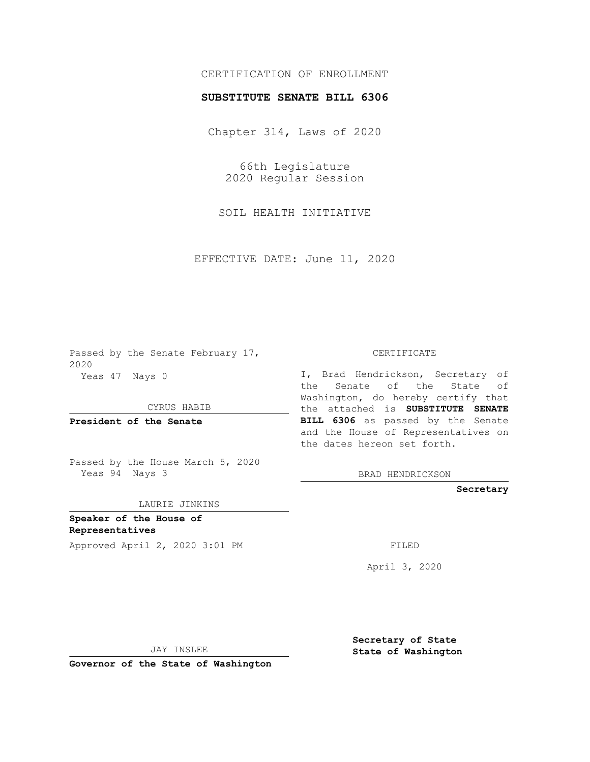## CERTIFICATION OF ENROLLMENT

## **SUBSTITUTE SENATE BILL 6306**

Chapter 314, Laws of 2020

66th Legislature 2020 Regular Session

SOIL HEALTH INITIATIVE

EFFECTIVE DATE: June 11, 2020

Passed by the Senate February 17, 2020 Yeas 47 Nays 0

CYRUS HABIB

**President of the Senate**

Passed by the House March 5, 2020 Yeas 94 Nays 3

LAURIE JINKINS

**Speaker of the House of Representatives**

Approved April 2, 2020 3:01 PM FILED

CERTIFICATE

I, Brad Hendrickson, Secretary of the Senate of the State of Washington, do hereby certify that the attached is **SUBSTITUTE SENATE BILL 6306** as passed by the Senate and the House of Representatives on the dates hereon set forth.

BRAD HENDRICKSON

**Secretary**

April 3, 2020

JAY INSLEE

**Governor of the State of Washington**

**Secretary of State State of Washington**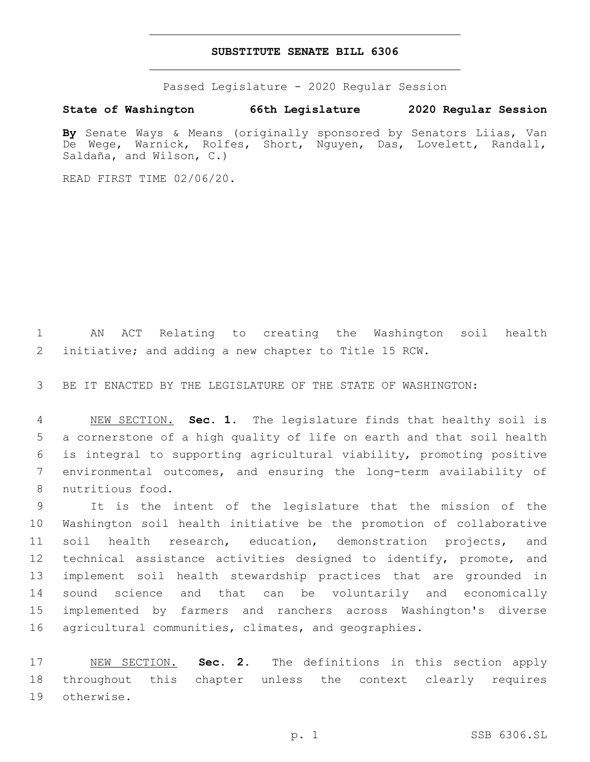## **SUBSTITUTE SENATE BILL 6306**

Passed Legislature - 2020 Regular Session

**State of Washington 66th Legislature 2020 Regular Session**

**By** Senate Ways & Means (originally sponsored by Senators Liias, Van De Wege, Warnick, Rolfes, Short, Nguyen, Das, Lovelett, Randall, Saldaña, and Wilson, C.)

READ FIRST TIME 02/06/20.

 AN ACT Relating to creating the Washington soil health initiative; and adding a new chapter to Title 15 RCW.

BE IT ENACTED BY THE LEGISLATURE OF THE STATE OF WASHINGTON:

 NEW SECTION. **Sec. 1.** The legislature finds that healthy soil is a cornerstone of a high quality of life on earth and that soil health is integral to supporting agricultural viability, promoting positive environmental outcomes, and ensuring the long-term availability of nutritious food.

 It is the intent of the legislature that the mission of the Washington soil health initiative be the promotion of collaborative soil health research, education, demonstration projects, and technical assistance activities designed to identify, promote, and implement soil health stewardship practices that are grounded in sound science and that can be voluntarily and economically implemented by farmers and ranchers across Washington's diverse agricultural communities, climates, and geographies.

 NEW SECTION. **Sec. 2.** The definitions in this section apply throughout this chapter unless the context clearly requires otherwise.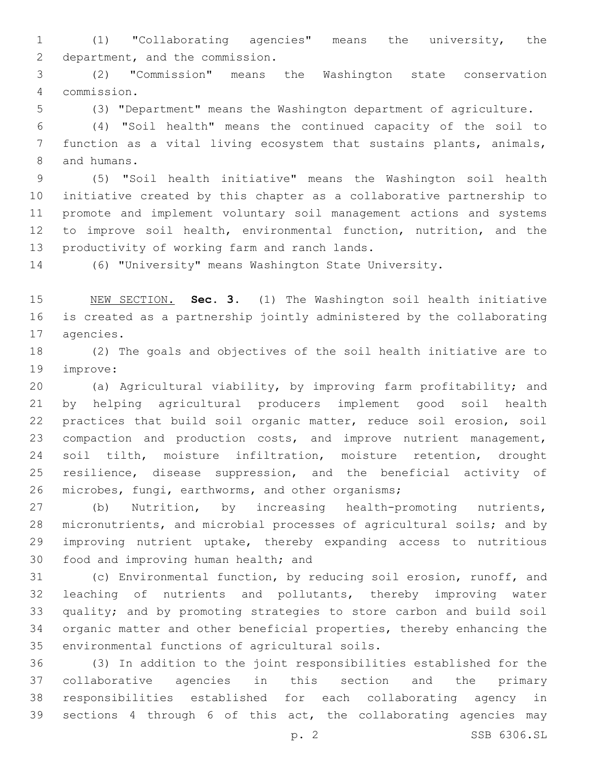(1) "Collaborating agencies" means the university, the 2 department, and the commission.

 (2) "Commission" means the Washington state conservation commission.4

(3) "Department" means the Washington department of agriculture.

 (4) "Soil health" means the continued capacity of the soil to function as a vital living ecosystem that sustains plants, animals, 8 and humans.

 (5) "Soil health initiative" means the Washington soil health initiative created by this chapter as a collaborative partnership to promote and implement voluntary soil management actions and systems to improve soil health, environmental function, nutrition, and the 13 productivity of working farm and ranch lands.

(6) "University" means Washington State University.

 NEW SECTION. **Sec. 3.** (1) The Washington soil health initiative is created as a partnership jointly administered by the collaborating agencies.

 (2) The goals and objectives of the soil health initiative are to 19 improve:

 (a) Agricultural viability, by improving farm profitability; and by helping agricultural producers implement good soil health practices that build soil organic matter, reduce soil erosion, soil compaction and production costs, and improve nutrient management, soil tilth, moisture infiltration, moisture retention, drought resilience, disease suppression, and the beneficial activity of 26 microbes, fungi, earthworms, and other organisms;

 (b) Nutrition, by increasing health-promoting nutrients, micronutrients, and microbial processes of agricultural soils; and by improving nutrient uptake, thereby expanding access to nutritious 30 food and improving human health; and

 (c) Environmental function, by reducing soil erosion, runoff, and leaching of nutrients and pollutants, thereby improving water quality; and by promoting strategies to store carbon and build soil organic matter and other beneficial properties, thereby enhancing the 35 environmental functions of agricultural soils.

 (3) In addition to the joint responsibilities established for the collaborative agencies in this section and the primary responsibilities established for each collaborating agency in sections 4 through 6 of this act, the collaborating agencies may

p. 2 SSB 6306.SL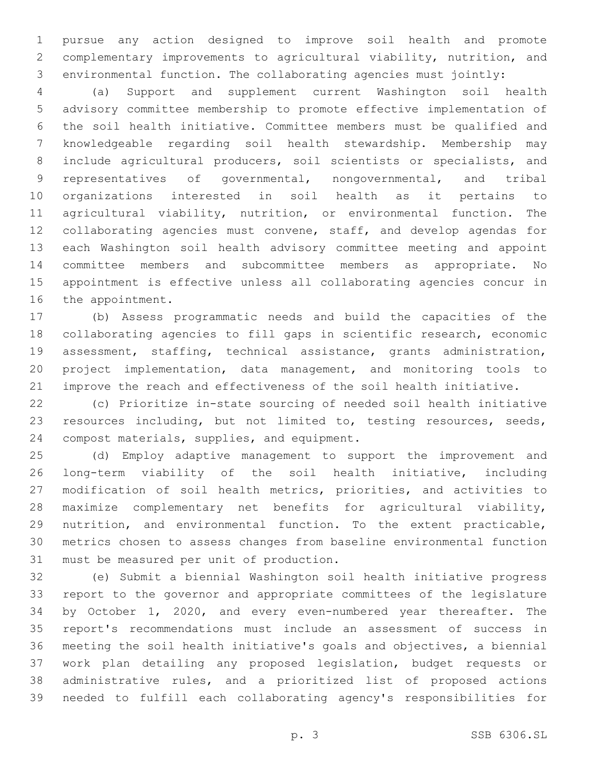pursue any action designed to improve soil health and promote complementary improvements to agricultural viability, nutrition, and environmental function. The collaborating agencies must jointly:

 (a) Support and supplement current Washington soil health advisory committee membership to promote effective implementation of the soil health initiative. Committee members must be qualified and knowledgeable regarding soil health stewardship. Membership may include agricultural producers, soil scientists or specialists, and representatives of governmental, nongovernmental, and tribal organizations interested in soil health as it pertains to agricultural viability, nutrition, or environmental function. The collaborating agencies must convene, staff, and develop agendas for each Washington soil health advisory committee meeting and appoint committee members and subcommittee members as appropriate. No appointment is effective unless all collaborating agencies concur in 16 the appointment.

 (b) Assess programmatic needs and build the capacities of the collaborating agencies to fill gaps in scientific research, economic assessment, staffing, technical assistance, grants administration, project implementation, data management, and monitoring tools to improve the reach and effectiveness of the soil health initiative.

 (c) Prioritize in-state sourcing of needed soil health initiative resources including, but not limited to, testing resources, seeds, 24 compost materials, supplies, and equipment.

 (d) Employ adaptive management to support the improvement and long-term viability of the soil health initiative, including modification of soil health metrics, priorities, and activities to maximize complementary net benefits for agricultural viability, nutrition, and environmental function. To the extent practicable, metrics chosen to assess changes from baseline environmental function 31 must be measured per unit of production.

 (e) Submit a biennial Washington soil health initiative progress report to the governor and appropriate committees of the legislature by October 1, 2020, and every even-numbered year thereafter. The report's recommendations must include an assessment of success in meeting the soil health initiative's goals and objectives, a biennial work plan detailing any proposed legislation, budget requests or administrative rules, and a prioritized list of proposed actions needed to fulfill each collaborating agency's responsibilities for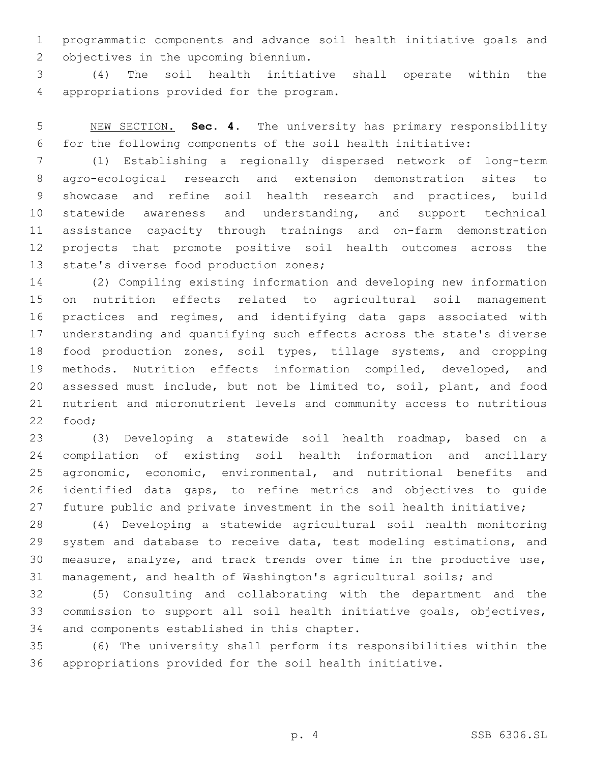programmatic components and advance soil health initiative goals and 2 objectives in the upcoming biennium.

 (4) The soil health initiative shall operate within the 4 appropriations provided for the program.

 NEW SECTION. **Sec. 4.** The university has primary responsibility for the following components of the soil health initiative:

 (1) Establishing a regionally dispersed network of long-term agro-ecological research and extension demonstration sites to showcase and refine soil health research and practices, build statewide awareness and understanding, and support technical assistance capacity through trainings and on-farm demonstration projects that promote positive soil health outcomes across the 13 state's diverse food production zones;

 (2) Compiling existing information and developing new information on nutrition effects related to agricultural soil management practices and regimes, and identifying data gaps associated with understanding and quantifying such effects across the state's diverse food production zones, soil types, tillage systems, and cropping methods. Nutrition effects information compiled, developed, and assessed must include, but not be limited to, soil, plant, and food nutrient and micronutrient levels and community access to nutritious 22 food;

 (3) Developing a statewide soil health roadmap, based on a compilation of existing soil health information and ancillary agronomic, economic, environmental, and nutritional benefits and identified data gaps, to refine metrics and objectives to guide 27 future public and private investment in the soil health initiative;

 (4) Developing a statewide agricultural soil health monitoring 29 system and database to receive data, test modeling estimations, and measure, analyze, and track trends over time in the productive use, management, and health of Washington's agricultural soils; and

 (5) Consulting and collaborating with the department and the commission to support all soil health initiative goals, objectives, 34 and components established in this chapter.

 (6) The university shall perform its responsibilities within the appropriations provided for the soil health initiative.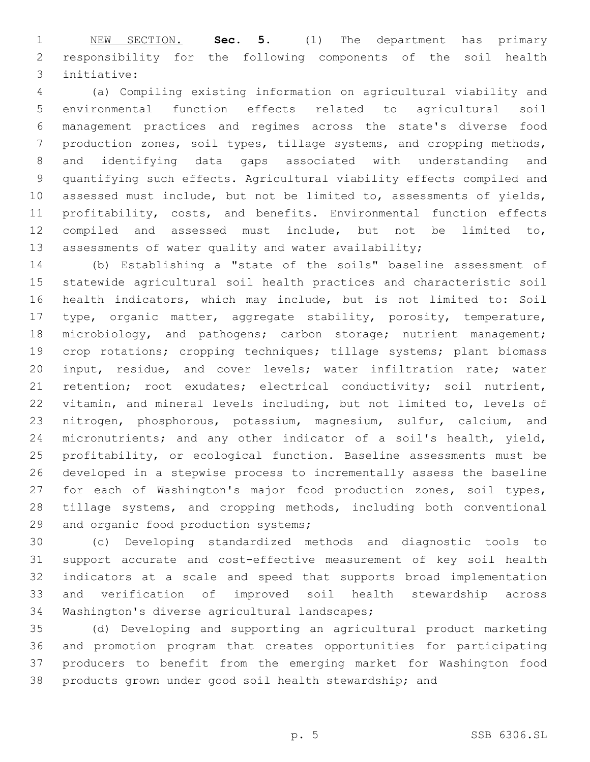NEW SECTION. **Sec. 5.** (1) The department has primary responsibility for the following components of the soil health initiative:

 (a) Compiling existing information on agricultural viability and environmental function effects related to agricultural soil management practices and regimes across the state's diverse food production zones, soil types, tillage systems, and cropping methods, and identifying data gaps associated with understanding and quantifying such effects. Agricultural viability effects compiled and assessed must include, but not be limited to, assessments of yields, profitability, costs, and benefits. Environmental function effects compiled and assessed must include, but not be limited to, assessments of water quality and water availability;

 (b) Establishing a "state of the soils" baseline assessment of statewide agricultural soil health practices and characteristic soil health indicators, which may include, but is not limited to: Soil type, organic matter, aggregate stability, porosity, temperature, 18 microbiology, and pathogens; carbon storage; nutrient management; crop rotations; cropping techniques; tillage systems; plant biomass input, residue, and cover levels; water infiltration rate; water retention; root exudates; electrical conductivity; soil nutrient, vitamin, and mineral levels including, but not limited to, levels of nitrogen, phosphorous, potassium, magnesium, sulfur, calcium, and micronutrients; and any other indicator of a soil's health, yield, profitability, or ecological function. Baseline assessments must be developed in a stepwise process to incrementally assess the baseline for each of Washington's major food production zones, soil types, tillage systems, and cropping methods, including both conventional 29 and organic food production systems;

 (c) Developing standardized methods and diagnostic tools to support accurate and cost-effective measurement of key soil health indicators at a scale and speed that supports broad implementation and verification of improved soil health stewardship across 34 Washington's diverse agricultural landscapes;

 (d) Developing and supporting an agricultural product marketing and promotion program that creates opportunities for participating producers to benefit from the emerging market for Washington food products grown under good soil health stewardship; and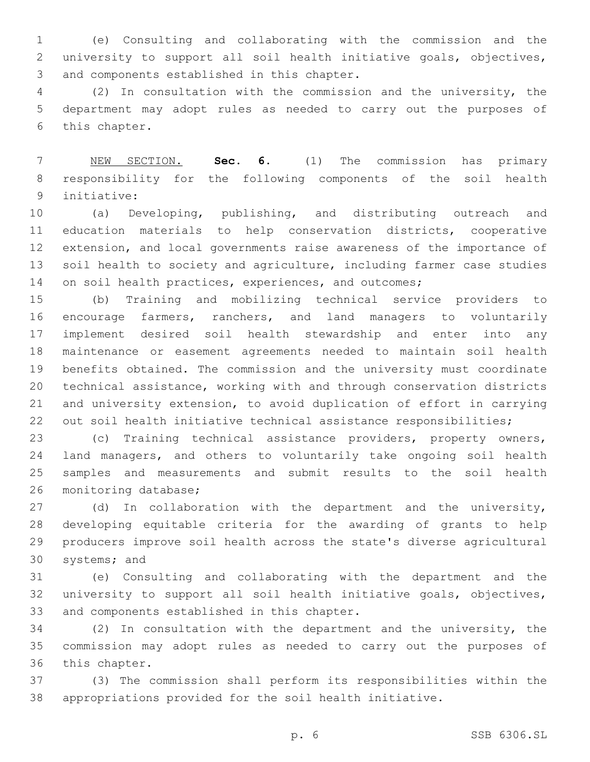(e) Consulting and collaborating with the commission and the university to support all soil health initiative goals, objectives, 3 and components established in this chapter.

 (2) In consultation with the commission and the university, the department may adopt rules as needed to carry out the purposes of 6 this chapter.

 NEW SECTION. **Sec. 6.** (1) The commission has primary responsibility for the following components of the soil health initiative:

 (a) Developing, publishing, and distributing outreach and education materials to help conservation districts, cooperative extension, and local governments raise awareness of the importance of 13 soil health to society and agriculture, including farmer case studies 14 on soil health practices, experiences, and outcomes;

 (b) Training and mobilizing technical service providers to encourage farmers, ranchers, and land managers to voluntarily implement desired soil health stewardship and enter into any maintenance or easement agreements needed to maintain soil health benefits obtained. The commission and the university must coordinate technical assistance, working with and through conservation districts and university extension, to avoid duplication of effort in carrying 22 out soil health initiative technical assistance responsibilities;

 (c) Training technical assistance providers, property owners, land managers, and others to voluntarily take ongoing soil health samples and measurements and submit results to the soil health 26 monitoring database;

 (d) In collaboration with the department and the university, developing equitable criteria for the awarding of grants to help producers improve soil health across the state's diverse agricultural 30 systems; and

 (e) Consulting and collaborating with the department and the university to support all soil health initiative goals, objectives, 33 and components established in this chapter.

 (2) In consultation with the department and the university, the commission may adopt rules as needed to carry out the purposes of 36 this chapter.

 (3) The commission shall perform its responsibilities within the appropriations provided for the soil health initiative.